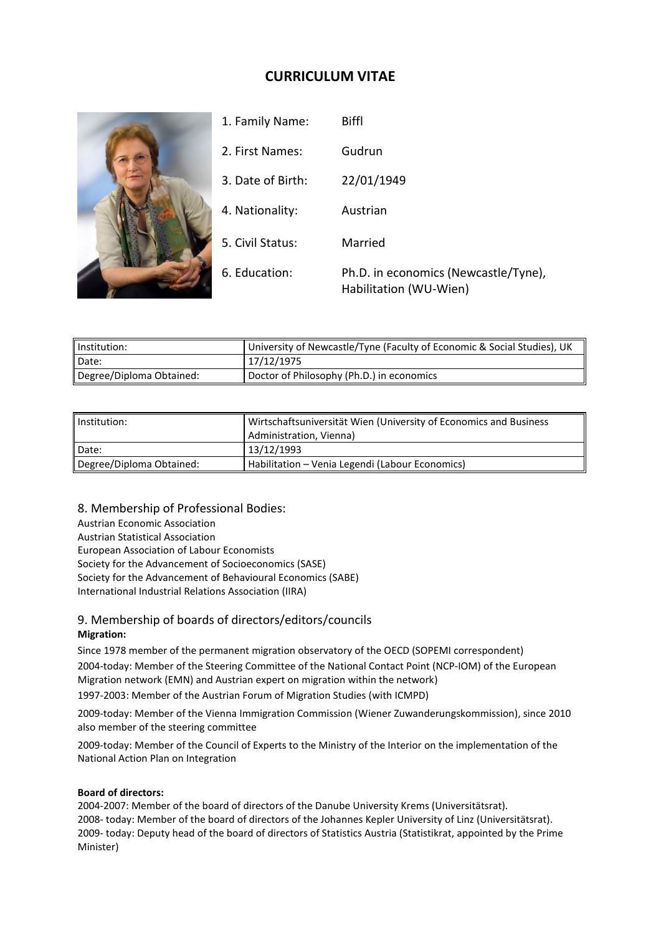# **CURRICULUM VITAE**



| Institution:             | University of Newcastle/Tyne (Faculty of Economic & Social Studies), UK |
|--------------------------|-------------------------------------------------------------------------|
| Date:                    | 17/12/1975                                                              |
| Degree/Diploma Obtained: | Doctor of Philosophy (Ph.D.) in economics                               |

| Institution:             | Wirtschaftsuniversität Wien (University of Economics and Business<br>Administration, Vienna) |
|--------------------------|----------------------------------------------------------------------------------------------|
| Date:                    | 13/12/1993                                                                                   |
| Degree/Diploma Obtained: | Habilitation – Venia Legendi (Labour Economics)                                              |

8. Membership of Professional Bodies: Austrian Economic Association Austrian Statistical Association European Association of Labour Economists Society for the Advancement of Socioeconomics (SASE) Society for the Advancement of Behavioural Economics (SABE) International Industrial Relations Association (IIRA)

# 9. Membership of boards of directors/editors/councils **Migration:**

Since 1978 member of the permanent migration observatory of the OECD (SOPEMI correspondent) 2004-today: Member of the Steering Committee of the National Contact Point (NCP-IOM) of the European Migration network (EMN) and Austrian expert on migration within the network)

1997-2003: Member of the Austrian Forum of Migration Studies (with ICMPD)

2009-today: Member of the Vienna Immigration Commission (Wiener Zuwanderungskommission), since 2010 also member of the steering committee

2009-today: Member of the Council of Experts to the Ministry of the Interior on the implementation of the National Action Plan on Integration

#### **Board of directors:**

2004-2007: Member of the board of directors of the Danube University Krems (Universitätsrat). 2008- today: Member of the board of directors of the Johannes Kepler University of Linz (Universitätsrat). 2009- today: Deputy head of the board of directors of Statistics Austria (Statistikrat, appointed by the Prime Minister)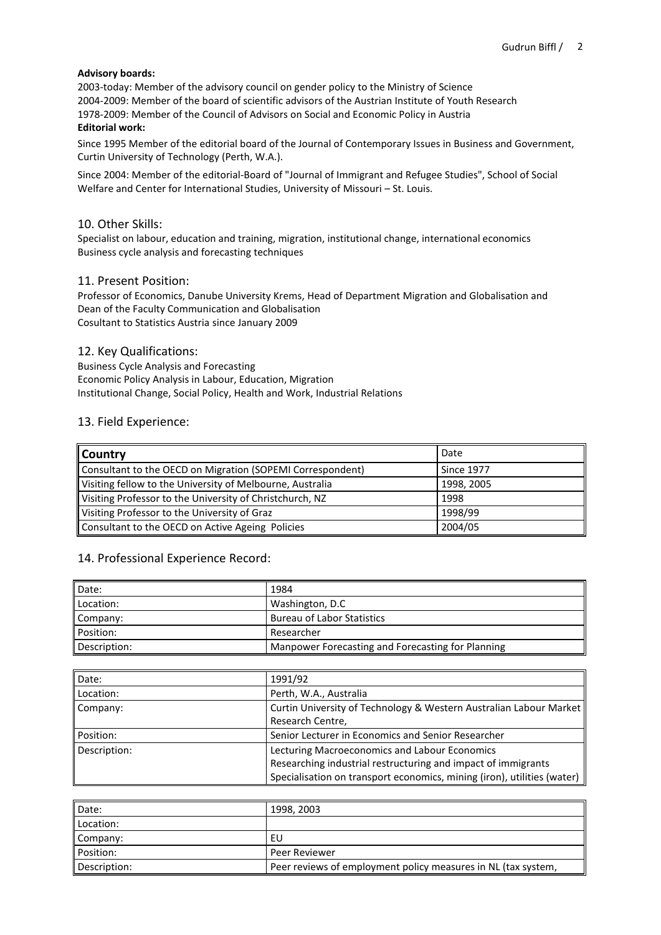#### **Advisory boards:**

2003-today: Member of the advisory council on gender policy to the Ministry of Science 2004-2009: Member of the board of scientific advisors of the Austrian Institute of Youth Research 1978-2009: Member of the Council of Advisors on Social and Economic Policy in Austria **Editorial work:**

Since 1995 Member of the editorial board of the Journal of Contemporary Issues in Business and Government, Curtin University of Technology (Perth, W.A.).

Since 2004: Member of the editorial-Board of "Journal of Immigrant and Refugee Studies", School of Social Welfare and Center for International Studies, University of Missouri – St. Louis.

#### 10. Other Skills:

Specialist on labour, education and training, migration, institutional change, international economics Business cycle analysis and forecasting techniques

#### 11. Present Position:

Professor of Economics, Danube University Krems, Head of Department Migration and Globalisation and Dean of the Faculty Communication and Globalisation Cosultant to Statistics Austria since January 2009

#### 12. Key Qualifications:

Business Cycle Analysis and Forecasting Economic Policy Analysis in Labour, Education, Migration Institutional Change, Social Policy, Health and Work, Industrial Relations

#### 13. Field Experience:

| Country                                                    | Date              |
|------------------------------------------------------------|-------------------|
| Consultant to the OECD on Migration (SOPEMI Correspondent) | <b>Since 1977</b> |
| Visiting fellow to the University of Melbourne, Australia  | 1998, 2005        |
| Visiting Professor to the University of Christchurch, NZ   | 1998              |
| Visiting Professor to the University of Graz               | 1998/99           |
| Consultant to the OECD on Active Ageing Policies           | 2004/05           |

### 14. Professional Experience Record:

| Date:        | 1984                                              |
|--------------|---------------------------------------------------|
| Location:    | Washington, D.C.                                  |
| Company:     | <b>Bureau of Labor Statistics</b>                 |
| Position:    | Researcher                                        |
| Description: | Manpower Forecasting and Forecasting for Planning |

| Date:        | 1991/92                                                                 |
|--------------|-------------------------------------------------------------------------|
| ll Location: | Perth, W.A., Australia                                                  |
| Company:     | Curtin University of Technology & Western Australian Labour Market      |
|              | Research Centre,                                                        |
| ll Position: | Senior Lecturer in Economics and Senior Researcher                      |
| Description: | Lecturing Macroeconomics and Labour Economics                           |
|              | Researching industrial restructuring and impact of immigrants           |
|              | Specialisation on transport economics, mining (iron), utilities (water) |

| Date:        | 1998, 2003                                                    |
|--------------|---------------------------------------------------------------|
| Location:    |                                                               |
| Company:     | EU                                                            |
| Position:    | Peer Reviewer                                                 |
| Description: | Peer reviews of employment policy measures in NL (tax system, |